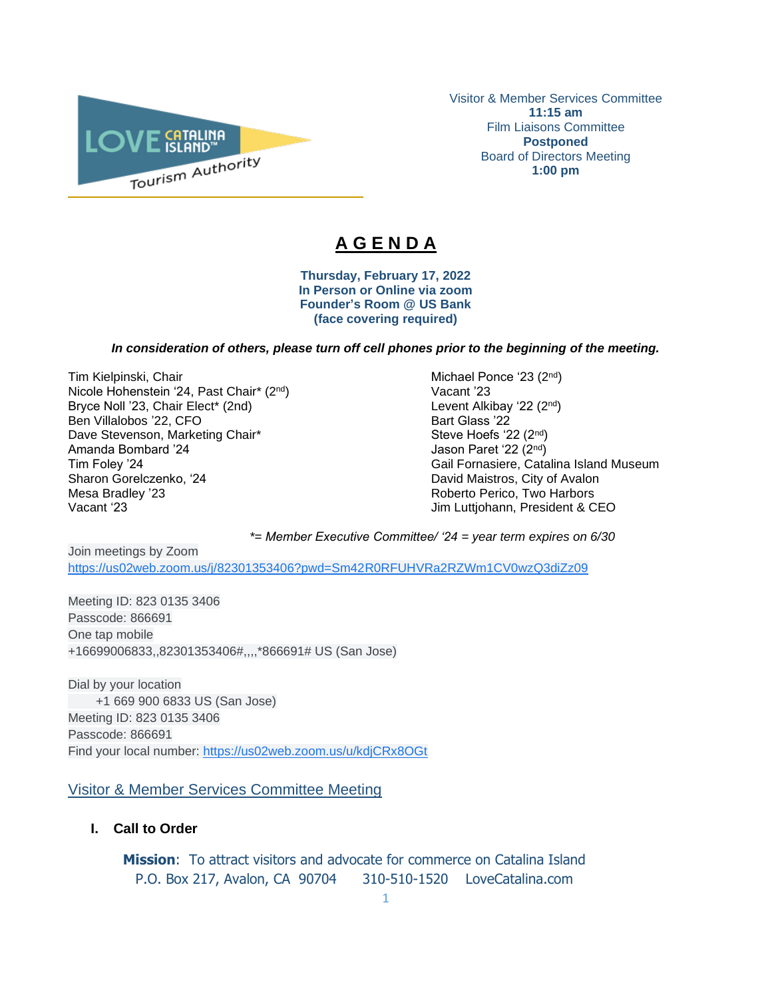

Visitor & Member Services Committee **11:15 am** Film Liaisons Committee **Postponed** Board of Directors Meeting **1:00 pm**

# **A G E N D A**

 $\overline{\phantom{a}}$ 

**Thursday, February 17, 2022 In Person or Online via zoom Founder's Room @ US Bank (face covering required)**

## *In consideration of others, please turn off cell phones prior to the beginning of the meeting.*

Tim Kielpinski, Chair Michael Ponce '23 (2<sup>nd</sup>) and Michael Ponce '23 (2<sup>nd</sup>) Nicole Hohenstein '24, Past Chair\* (2<sup>nd</sup>) Vacant '23 Bryce Noll '23, Chair Elect\* (2nd) Ben Villalobos '22, CFO Bart Glass '22 Dave Stevenson, Marketing Chair\* Steve Hoefs '22 (2<sup>nd</sup>) Steve Hoefs '22 (2<sup>nd</sup>) Amanda Bombard '24 Jason Paret '22 (2<sup>nd</sup>) Sharon Gorelczenko, '24 **David Maistros, City of Avalon** Mesa Bradley '23 **Mesa Bradley '23** Roberto Perico, Two Harbors<br>Vacant '23 **Markors' Markors Bradley Roberto Perico, Two Harbors** 

nd ) Tim Foley '24 Gail Fornasiere, Catalina Island Museum Jim Luttjohann, President & CEO

*\*= Member Executive Committee/ '24 = year term expires on 6/30* 

Join meetings by Zoom [https://us02web.zoom.us/j/82301353406?pwd=Sm42R0RFUHVRa2RZWm1CV0wzQ3diZz09](https://www.google.com/url?q=https://us02web.zoom.us/j/82301353406?pwd%3DSm42R0RFUHVRa2RZWm1CV0wzQ3diZz09&sa=D&source=calendar&ust=1615520592838000&usg=AOvVaw2YOhWUTEJgTHZ7_ay-dgZd)

Meeting ID: 823 0135 3406 Passcode: 866691 One tap mobile +16699006833,,82301353406#,,,,\*866691# US (San Jose)

Dial by your location +1 669 900 6833 US (San Jose) Meeting ID: 823 0135 3406 Passcode: 866691 Find your local number: [https://us02web.zoom.us/u/kdjCRx8OGt](https://www.google.com/url?q=https://us02web.zoom.us/u/kdjCRx8OGt&sa=D&source=calendar&ust=1615520592838000&usg=AOvVaw2gwBpPGmW2ln1ZL1spFK5e)

# Visitor & Member Services Committee Meeting

**I. Call to Order** 

**Mission**: To attract visitors and advocate for commerce on Catalina Island P.O. Box 217, Avalon, CA 90704 310-510-1520 LoveCatalina.com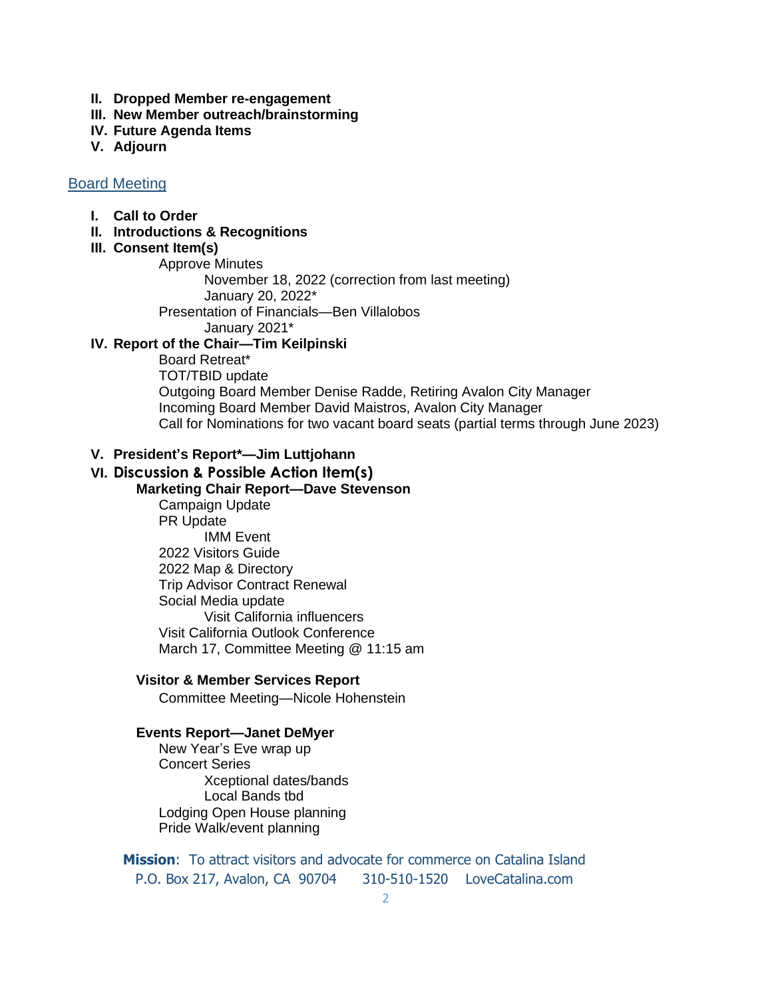- **II. Dropped Member re-engagement**
- **III. New Member outreach/brainstorming**
- **IV. Future Agenda Items**
- **V. Adjourn**

## Board Meeting

## **I. Call to Order**

## **II. Introductions & Recognitions**

#### **III. Consent Item(s)**

Approve Minutes

November 18, 2022 (correction from last meeting)

January 20, 2022\*

Presentation of Financials—Ben Villalobos

January 2021\*

## **IV. Report of the Chair—Tim Keilpinski**

Board Retreat\* TOT/TBID update Outgoing Board Member Denise Radde, Retiring Avalon City Manager Incoming Board Member David Maistros, Avalon City Manager Call for Nominations for two vacant board seats (partial terms through June 2023)

### **V. President's Report\*—Jim Luttjohann**

# **VI. Discussion & Possible Action Item(s)**

**Marketing Chair Report—Dave Stevenson** Campaign Update PR Update IMM Event 2022 Visitors Guide 2022 Map & Directory Trip Advisor Contract Renewal Social Media update Visit California influencers Visit California Outlook Conference March 17, Committee Meeting @ 11:15 am

## **Visitor & Member Services Report**

Committee Meeting—Nicole Hohenstein

#### **Events Report—Janet DeMyer**

New Year's Eve wrap up Concert Series Xceptional dates/bands Local Bands tbd Lodging Open House planning Pride Walk/event planning

**Mission**: To attract visitors and advocate for commerce on Catalina Island P.O. Box 217, Avalon, CA 90704 310-510-1520 LoveCatalina.com